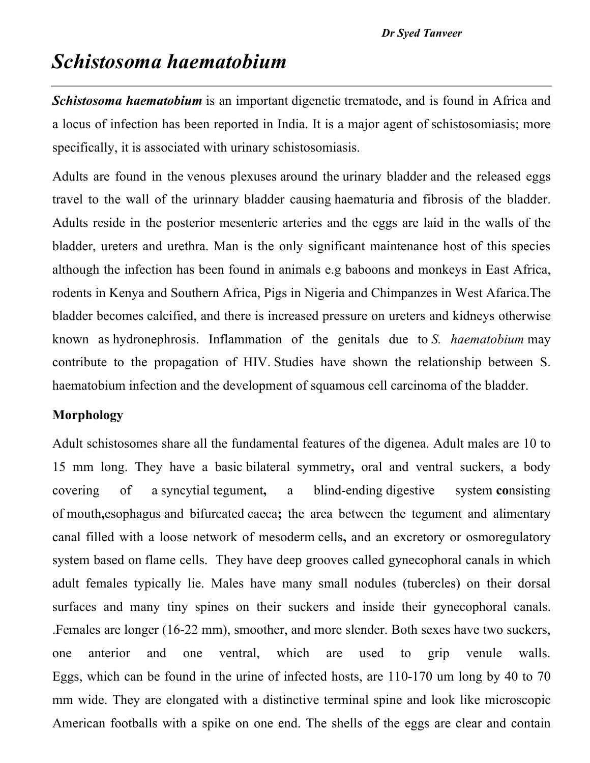# *Schistosoma haematobium*

*Schistosoma haematobium* is an important digenetic trematode, and is found in Africa and a locus of infection has been reported in India. It is a major agent of schistosomiasis; more specifically, it is associated with urinary schistosomiasis.

Adults are found in the venous plexuses around the urinary bladder and the released eggs travel to the wall of the urinnary bladder causing haematuria and fibrosis of the bladder. Adults reside in the posterior mesenteric arteries and the eggs are laid in the walls of the bladder, ureters and urethra. Man is the only significant maintenance host of this species although the infection has been found in animals e.g baboons and monkeys in East Africa, rodents in Kenya and Southern Africa, Pigs in Nigeria and Chimpanzes in West Afarica.The bladder becomes calcified, and there is increased pressure on ureters and kidneys otherwise known as hydronephrosis. Inflammation of the genitals due to *S. haematobium* may contribute to the propagation of HIV. Studies have shown the relationship between S. haematobium infection and the development of squamous cell carcinoma of the bladder.

## **Morphology**

Adult schistosomes share all the fundamental features of the digenea. Adult males are 10 to 15 mm long. They have a basic bilateral symmetry**,** oral and ventral suckers, a body covering of a syncytial tegument**,** a blind-ending digestive system **co**nsisting of mouth**,**esophagus and bifurcated caeca**;** the area between the tegument and alimentary canal filled with a loose network of mesoderm cells**,** and an excretory or osmoregulatory system based on flame cells. They have deep grooves called gynecophoral canals in which adult females typically lie. Males have many small nodules (tubercles) on their dorsal surfaces and many tiny spines on their suckers and inside their gynecophoral canals. .Females are longer (16-22 mm), smoother, and more slender. Both sexes have two suckers, one anterior and one ventral, which are used to grip venule walls. Eggs, which can be found in the urine of infected hosts, are 110-170 um long by 40 to 70 mm wide. They are elongated with a distinctive terminal spine and look like microscopic American footballs with a spike on one end. The shells of the eggs are clear and contain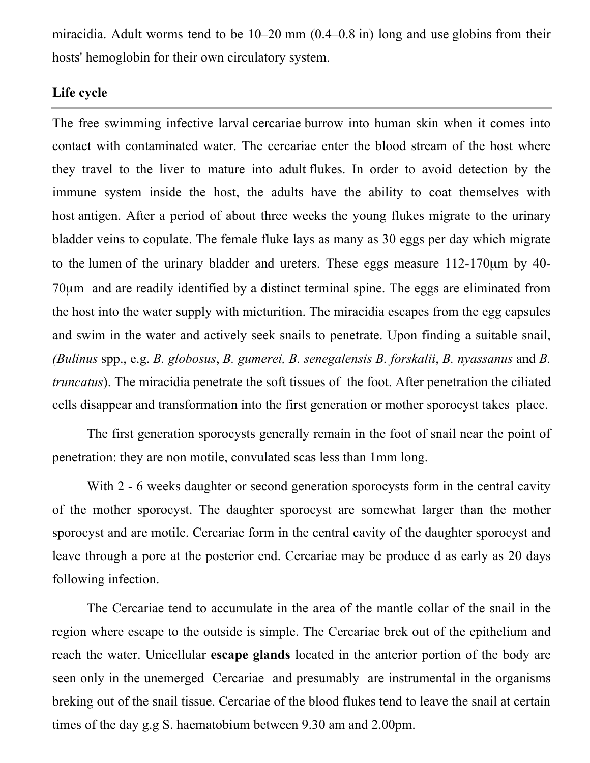miracidia. Adult worms tend to be 10–20 mm (0.4–0.8 in) long and use globins from their hosts' hemoglobin for their own circulatory system.

## **Life cycle**

The free swimming infective larval cercariae burrow into human skin when it comes into contact with contaminated water. The cercariae enter the blood stream of the host where they travel to the liver to mature into adult flukes. In order to avoid detection by the immune system inside the host, the adults have the ability to coat themselves with host antigen. After a period of about three weeks the young flukes migrate to the urinary bladder veins to copulate. The female fluke lays as many as 30 eggs per day which migrate to the lumen of the urinary bladder and ureters. These eggs measure 112-170µm by 40- 70µm and are readily identified by a distinct terminal spine. The eggs are eliminated from the host into the water supply with micturition. The miracidia escapes from the egg capsules and swim in the water and actively seek snails to penetrate. Upon finding a suitable snail, *(Bulinus* spp., e.g. *B. globosus*, *B. gumerei, B. senegalensis B. forskalii*, *B. nyassanus* and *B. truncatus*). The miracidia penetrate the soft tissues of the foot. After penetration the ciliated cells disappear and transformation into the first generation or mother sporocyst takes place.

The first generation sporocysts generally remain in the foot of snail near the point of penetration: they are non motile, convulated scas less than 1mm long.

With 2 - 6 weeks daughter or second generation sporocysts form in the central cavity of the mother sporocyst. The daughter sporocyst are somewhat larger than the mother sporocyst and are motile. Cercariae form in the central cavity of the daughter sporocyst and leave through a pore at the posterior end. Cercariae may be produce d as early as 20 days following infection.

The Cercariae tend to accumulate in the area of the mantle collar of the snail in the region where escape to the outside is simple. The Cercariae brek out of the epithelium and reach the water. Unicellular **escape glands** located in the anterior portion of the body are seen only in the unemerged Cercariae and presumably are instrumental in the organisms breking out of the snail tissue. Cercariae of the blood flukes tend to leave the snail at certain times of the day g.g S. haematobium between 9.30 am and 2.00pm.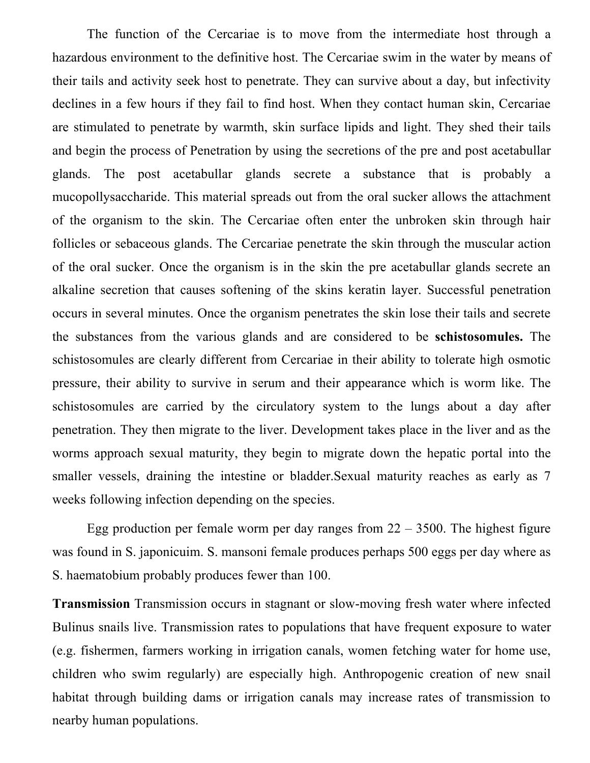The function of the Cercariae is to move from the intermediate host through a hazardous environment to the definitive host. The Cercariae swim in the water by means of their tails and activity seek host to penetrate. They can survive about a day, but infectivity declines in a few hours if they fail to find host. When they contact human skin, Cercariae are stimulated to penetrate by warmth, skin surface lipids and light. They shed their tails and begin the process of Penetration by using the secretions of the pre and post acetabullar glands. The post acetabullar glands secrete a substance that is probably a mucopollysaccharide. This material spreads out from the oral sucker allows the attachment of the organism to the skin. The Cercariae often enter the unbroken skin through hair follicles or sebaceous glands. The Cercariae penetrate the skin through the muscular action of the oral sucker. Once the organism is in the skin the pre acetabullar glands secrete an alkaline secretion that causes softening of the skins keratin layer. Successful penetration occurs in several minutes. Once the organism penetrates the skin lose their tails and secrete the substances from the various glands and are considered to be **schistosomules.** The schistosomules are clearly different from Cercariae in their ability to tolerate high osmotic pressure, their ability to survive in serum and their appearance which is worm like. The schistosomules are carried by the circulatory system to the lungs about a day after penetration. They then migrate to the liver. Development takes place in the liver and as the worms approach sexual maturity, they begin to migrate down the hepatic portal into the smaller vessels, draining the intestine or bladder.Sexual maturity reaches as early as 7 weeks following infection depending on the species.

Egg production per female worm per day ranges from  $22 - 3500$ . The highest figure was found in S. japonicuim. S. mansoni female produces perhaps 500 eggs per day where as S. haematobium probably produces fewer than 100.

**Transmission** Transmission occurs in stagnant or slow-moving fresh water where infected Bulinus snails live. Transmission rates to populations that have frequent exposure to water (e.g. fishermen, farmers working in irrigation canals, women fetching water for home use, children who swim regularly) are especially high. Anthropogenic creation of new snail habitat through building dams or irrigation canals may increase rates of transmission to nearby human populations.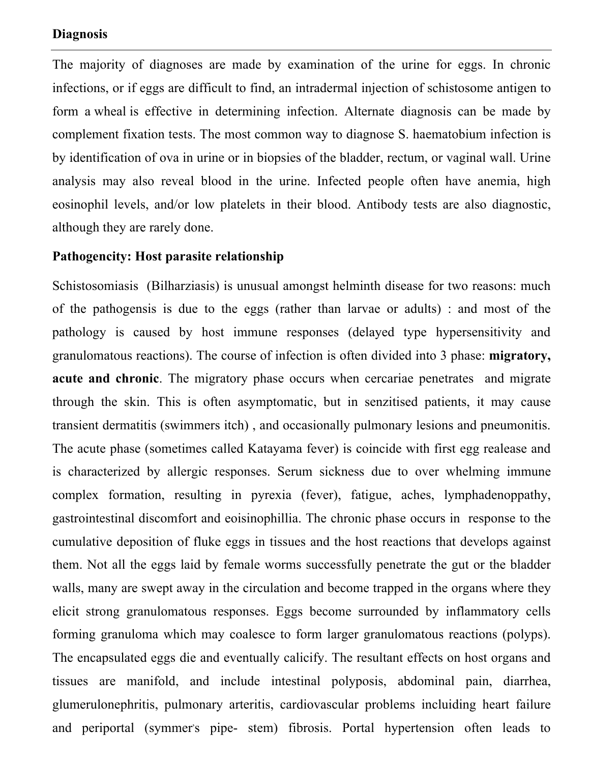#### **Diagnosis**

The majority of diagnoses are made by examination of the urine for eggs. In chronic infections, or if eggs are difficult to find, an intradermal injection of schistosome antigen to form a wheal is effective in determining infection. Alternate diagnosis can be made by complement fixation tests. The most common way to diagnose S. haematobium infection is by identification of ova in urine or in biopsies of the bladder, rectum, or vaginal wall. Urine analysis may also reveal blood in the urine. Infected people often have anemia, high eosinophil levels, and/or low platelets in their blood. Antibody tests are also diagnostic, although they are rarely done.

#### **Pathogencity: Host parasite relationship**

Schistosomiasis (Bilharziasis) is unusual amongst helminth disease for two reasons: much of the pathogensis is due to the eggs (rather than larvae or adults) : and most of the pathology is caused by host immune responses (delayed type hypersensitivity and granulomatous reactions). The course of infection is often divided into 3 phase: **migratory, acute and chronic**. The migratory phase occurs when cercariae penetrates and migrate through the skin. This is often asymptomatic, but in senzitised patients, it may cause transient dermatitis (swimmers itch) , and occasionally pulmonary lesions and pneumonitis. The acute phase (sometimes called Katayama fever) is coincide with first egg realease and is characterized by allergic responses. Serum sickness due to over whelming immune complex formation, resulting in pyrexia (fever), fatigue, aches, lymphadenoppathy, gastrointestinal discomfort and eoisinophillia. The chronic phase occurs in response to the cumulative deposition of fluke eggs in tissues and the host reactions that develops against them. Not all the eggs laid by female worms successfully penetrate the gut or the bladder walls, many are swept away in the circulation and become trapped in the organs where they elicit strong granulomatous responses. Eggs become surrounded by inflammatory cells forming granuloma which may coalesce to form larger granulomatous reactions (polyps). The encapsulated eggs die and eventually calicify. The resultant effects on host organs and tissues are manifold, and include intestinal polyposis, abdominal pain, diarrhea, glumerulonephritis, pulmonary arteritis, cardiovascular problems incluiding heart failure and periportal (symmers pipe- stem) fibrosis. Portal hypertension often leads to